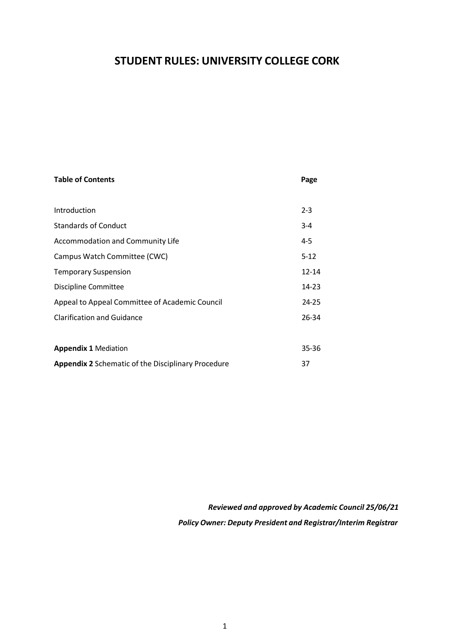# **STUDENT RULES: UNIVERSITY COLLEGE CORK**

| <b>Table of Contents</b>                                  | Page      |
|-----------------------------------------------------------|-----------|
|                                                           |           |
| Introduction                                              | $2 - 3$   |
| <b>Standards of Conduct</b>                               | $3 - 4$   |
| Accommodation and Community Life                          | 4-5       |
| Campus Watch Committee (CWC)                              | $5-12$    |
| <b>Temporary Suspension</b>                               | $12 - 14$ |
| Discipline Committee                                      | 14-23     |
| Appeal to Appeal Committee of Academic Council            | $24 - 25$ |
| <b>Clarification and Guidance</b>                         | 26-34     |
|                                                           |           |
| <b>Appendix 1 Mediation</b>                               | $35 - 36$ |
| <b>Appendix 2</b> Schematic of the Disciplinary Procedure | 37        |

*Reviewed and approved by Academic Council 25/06/21 Policy Owner: Deputy President and Registrar/Interim Registrar*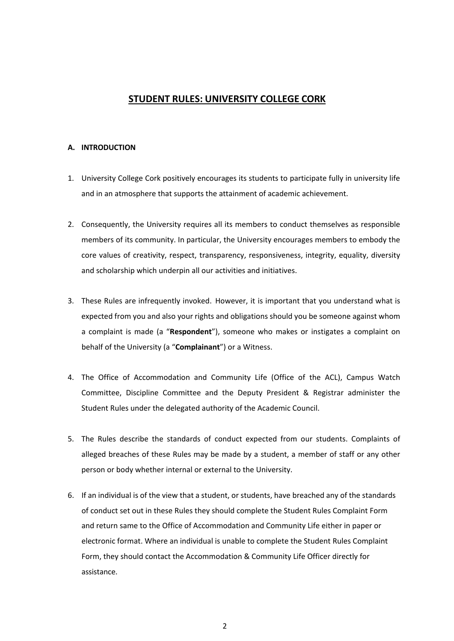## **STUDENT RULES: UNIVERSITY COLLEGE CORK**

### **A. INTRODUCTION**

- 1. University College Cork positively encourages its students to participate fully in university life and in an atmosphere that supports the attainment of academic achievement.
- 2. Consequently, the University requires all its members to conduct themselves as responsible members of its community. In particular, the University encourages members to embody the core values of creativity, respect, transparency, responsiveness, integrity, equality, diversity and scholarship which underpin all our activities and initiatives.
- 3. These Rules are infrequently invoked. However, it is important that you understand what is expected from you and also your rights and obligations should you be someone against whom a complaint is made (a "**Respondent**"), someone who makes or instigates a complaint on behalf of the University (a "**Complainant**") or a Witness.
- 4. The Office of Accommodation and Community Life (Office of the ACL), Campus Watch Committee, Discipline Committee and the Deputy President & Registrar administer the Student Rules under the delegated authority of the Academic Council.
- 5. The Rules describe the standards of conduct expected from our students. Complaints of alleged breaches of these Rules may be made by a student, a member of staff or any other person or body whether internal or external to the University.
- 6. If an individual is of the view that a student, or students, have breached any of the standards of conduct set out in these Rules they should complete the Student Rules Complaint Form and return same to the Office of Accommodation and Community Life either in paper or electronic format. Where an individual is unable to complete the Student Rules Complaint Form, they should contact the Accommodation & Community Life Officer directly for assistance.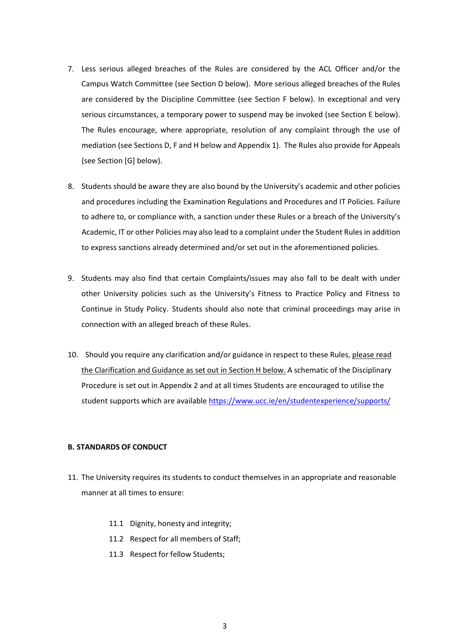- 7. Less serious alleged breaches of the Rules are considered by the ACL Officer and/or the Campus Watch Committee (see Section D below). More serious alleged breaches of the Rules are considered by the Discipline Committee (see Section F below). In exceptional and very serious circumstances, a temporary power to suspend may be invoked (see Section E below). The Rules encourage, where appropriate, resolution of any complaint through the use of mediation (see Sections D, F and H below and Appendix 1). The Rules also provide for Appeals (see Section [G] below).
- 8. Students should be aware they are also bound by the University's academic and other policies and procedures including the Examination Regulations and Procedures and IT Policies. Failure to adhere to, or compliance with, a sanction under these Rules or a breach of the University's Academic, IT or other Policies may also lead to a complaint under the Student Rules in addition to express sanctions already determined and/or set out in the aforementioned policies.
- 9. Students may also find that certain Complaints/issues may also fall to be dealt with under other University policies such as the University's Fitness to Practice Policy and Fitness to Continue in Study Policy. Students should also note that criminal proceedings may arise in connection with an alleged breach of these Rules.
- 10. Should you require any clarification and/or guidance in respect to these Rules, please read the Clarification and Guidance as set out in Section H below. A schematic of the Disciplinary Procedure is set out in Appendix 2 and at all times Students are encouraged to utilise the student supports which are available<https://www.ucc.ie/en/studentexperience/supports/>

### **B. STANDARDS OF CONDUCT**

- 11. The University requires its students to conduct themselves in an appropriate and reasonable manner at all times to ensure:
	- 11.1 Dignity, honesty and integrity;
	- 11.2 Respect for all members of Staff;
	- 11.3 Respect for fellow Students;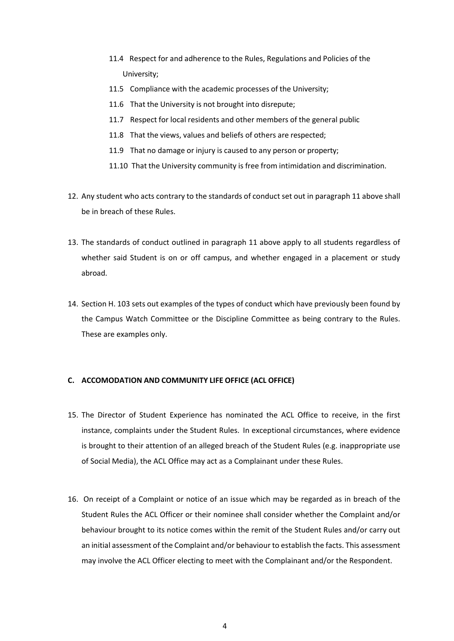- 11.4 Respect for and adherence to the Rules, Regulations and Policies of the University;
- 11.5 Compliance with the academic processes of the University;
- 11.6 That the University is not brought into disrepute;
- 11.7 Respect for local residents and other members of the general public
- 11.8 That the views, values and beliefs of others are respected;
- 11.9 That no damage or injury is caused to any person or property;
- 11.10 That the University community is free from intimidation and discrimination.
- 12. Any student who acts contrary to the standards of conduct set out in paragraph 11 above shall be in breach of these Rules.
- 13. The standards of conduct outlined in paragraph 11 above apply to all students regardless of whether said Student is on or off campus, and whether engaged in a placement or study abroad.
- 14. Section H. 103 sets out examples of the types of conduct which have previously been found by the Campus Watch Committee or the Discipline Committee as being contrary to the Rules. These are examples only.

### **C. ACCOMODATION AND COMMUNITY LIFE OFFICE (ACL OFFICE)**

- 15. The Director of Student Experience has nominated the ACL Office to receive, in the first instance, complaints under the Student Rules. In exceptional circumstances, where evidence is brought to their attention of an alleged breach of the Student Rules (e.g. inappropriate use of Social Media), the ACL Office may act as a Complainant under these Rules.
- 16. On receipt of a Complaint or notice of an issue which may be regarded as in breach of the Student Rules the ACL Officer or their nominee shall consider whether the Complaint and/or behaviour brought to its notice comes within the remit of the Student Rules and/or carry out an initial assessment of the Complaint and/or behaviour to establish the facts. This assessment may involve the ACL Officer electing to meet with the Complainant and/or the Respondent.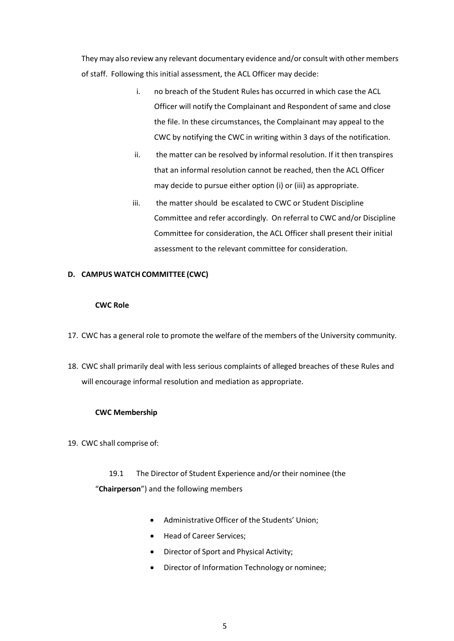They may also review any relevant documentary evidence and/or consult with other members of staff. Following this initial assessment, the ACL Officer may decide:

- i. no breach of the Student Rules has occurred in which case the ACL Officer will notify the Complainant and Respondent of same and close the file. In these circumstances, the Complainant may appeal to the CWC by notifying the CWC in writing within 3 days of the notification.
- ii. the matter can be resolved by informal resolution. If it then transpires that an informal resolution cannot be reached, then the ACL Officer may decide to pursue either option (i) or (iii) as appropriate.
- iii. the matter should be escalated to CWC or Student Discipline Committee and refer accordingly. On referral to CWC and/or Discipline Committee for consideration, the ACL Officer shall present their initial assessment to the relevant committee for consideration.

### **D. CAMPUS WATCH COMMITTEE (CWC)**

### **CWC Role**

- 17. CWC has a general role to promote the welfare of the members of the University community.
- 18. CWC shall primarily deal with less serious complaints of alleged breaches of these Rules and will encourage informal resolution and mediation as appropriate.

### **CWC Membership**

19. CWC shall comprise of:

19.1 The Director of Student Experience and/or their nominee (the "**Chairperson**") and the following members

- Administrative Officer of the Students' Union;
- Head of Career Services;
- Director of Sport and Physical Activity;
- Director of Information Technology or nominee;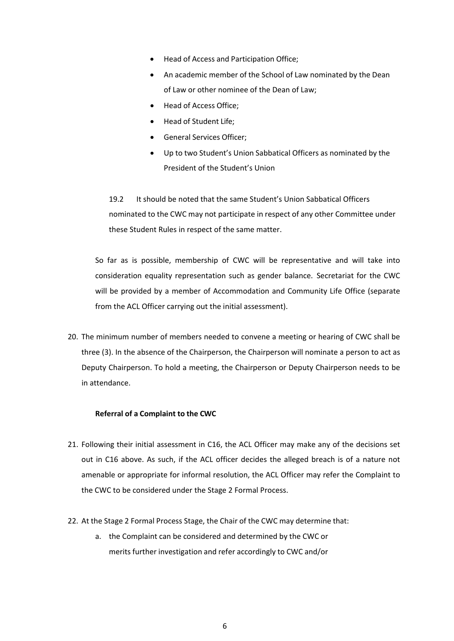- Head of Access and Participation Office;
- An academic member of the School of Law nominated by the Dean of Law or other nominee of the Dean of Law;
- Head of Access Office;
- Head of Student Life;
- General Services Officer;
- Up to two Student's Union Sabbatical Officers as nominated by the President of the Student's Union

19.2 It should be noted that the same Student's Union Sabbatical Officers nominated to the CWC may not participate in respect of any other Committee under these Student Rules in respect of the same matter.

So far as is possible, membership of CWC will be representative and will take into consideration equality representation such as gender balance. Secretariat for the CWC will be provided by a member of Accommodation and Community Life Office (separate from the ACL Officer carrying out the initial assessment).

20. The minimum number of members needed to convene a meeting or hearing of CWC shall be three (3). In the absence of the Chairperson, the Chairperson will nominate a person to act as Deputy Chairperson. To hold a meeting, the Chairperson or Deputy Chairperson needs to be in attendance.

### **Referral of a Complaint to the CWC**

- 21. Following their initial assessment in C16, the ACL Officer may make any of the decisions set out in C16 above. As such, if the ACL officer decides the alleged breach is of a nature not amenable or appropriate for informal resolution, the ACL Officer may refer the Complaint to the CWC to be considered under the Stage 2 Formal Process.
- 22. At the Stage 2 Formal Process Stage, the Chair of the CWC may determine that:
	- a. the Complaint can be considered and determined by the CWC or merits further investigation and refer accordingly to CWC and/or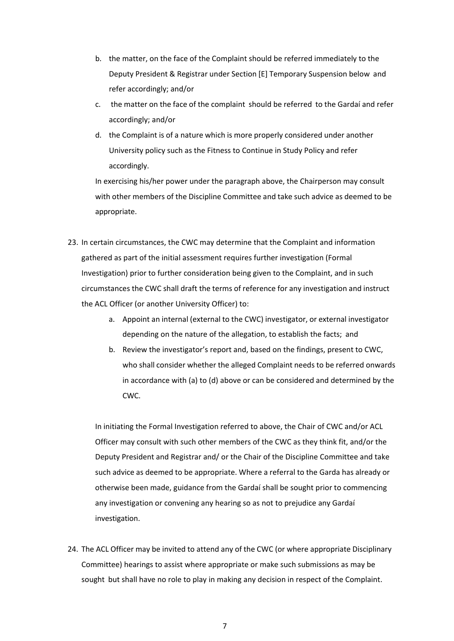- b. the matter, on the face of the Complaint should be referred immediately to the Deputy President & Registrar under Section [E] Temporary Suspension below and refer accordingly; and/or
- c. the matter on the face of the complaint should be referred to the Gardaí and refer accordingly; and/or
- d. the Complaint is of a nature which is more properly considered under another University policy such as the Fitness to Continue in Study Policy and refer accordingly.

In exercising his/her power under the paragraph above, the Chairperson may consult with other members of the Discipline Committee and take such advice as deemed to be appropriate.

- 23. In certain circumstances, the CWC may determine that the Complaint and information gathered as part of the initial assessment requires further investigation (Formal Investigation) prior to further consideration being given to the Complaint, and in such circumstances the CWC shall draft the terms of reference for any investigation and instruct the ACL Officer (or another University Officer) to:
	- a. Appoint an internal (external to the CWC) investigator, or external investigator depending on the nature of the allegation, to establish the facts; and
	- b. Review the investigator's report and, based on the findings, present to CWC, who shall consider whether the alleged Complaint needs to be referred onwards in accordance with (a) to (d) above or can be considered and determined by the CWC.

In initiating the Formal Investigation referred to above, the Chair of CWC and/or ACL Officer may consult with such other members of the CWC as they think fit, and/or the Deputy President and Registrar and/ or the Chair of the Discipline Committee and take such advice as deemed to be appropriate. Where a referral to the Garda has already or otherwise been made, guidance from the Gardaí shall be sought prior to commencing any investigation or convening any hearing so as not to prejudice any Gardaí investigation.

24. The ACL Officer may be invited to attend any of the CWC (or where appropriate Disciplinary Committee) hearings to assist where appropriate or make such submissions as may be sought but shall have no role to play in making any decision in respect of the Complaint.

7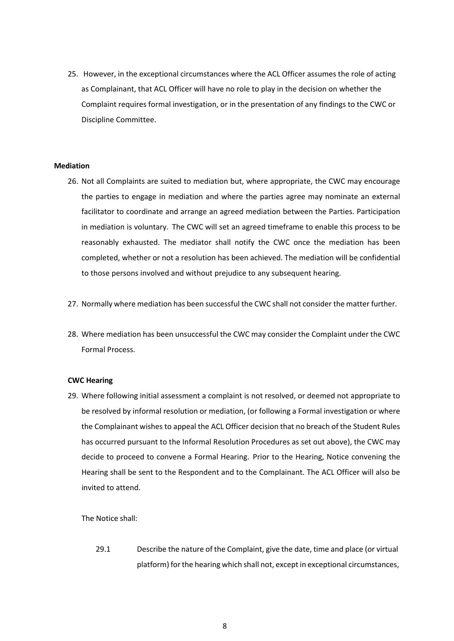25. However, in the exceptional circumstances where the ACL Officer assumes the role of acting as Complainant, that ACL Officer will have no role to play in the decision on whether the Complaint requires formal investigation, or in the presentation of any findings to the CWC or Discipline Committee.

### **Mediation**

- 26. Not all Complaints are suited to mediation but, where appropriate, the CWC may encourage the parties to engage in mediation and where the parties agree may nominate an external facilitator to coordinate and arrange an agreed mediation between the Parties. Participation in mediation is voluntary. The CWC will set an agreed timeframe to enable this process to be reasonably exhausted. The mediator shall notify the CWC once the mediation has been completed, whether or not a resolution has been achieved. The mediation will be confidential to those persons involved and without prejudice to any subsequent hearing.
- 27. Normally where mediation has been successful the CWC shall not consider the matter further.
- 28. Where mediation has been unsuccessful the CWC may consider the Complaint under the CWC Formal Process.

### **CWC Hearing**

29. Where following initial assessment a complaint is not resolved, or deemed not appropriate to be resolved by informal resolution or mediation, (or following a Formal investigation or where the Complainant wishes to appeal the ACL Officer decision that no breach of the Student Rules has occurred pursuant to the Informal Resolution Procedures as set out above), the CWC may decide to proceed to convene a Formal Hearing. Prior to the Hearing, Notice convening the Hearing shall be sent to the Respondent and to the Complainant. The ACL Officer will also be invited to attend.

The Notice shall:

29.1 Describe the nature of the Complaint, give the date, time and place (or virtual platform) for the hearing which shall not, except in exceptional circumstances,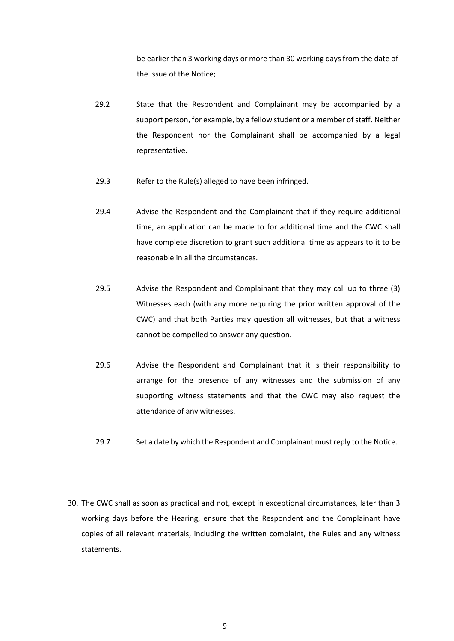be earlier than 3 working days or more than 30 working days from the date of the issue of the Notice;

- 29.2 State that the Respondent and Complainant may be accompanied by a support person, for example, by a fellow student or a member of staff. Neither the Respondent nor the Complainant shall be accompanied by a legal representative.
- 29.3 Refer to the Rule(s) alleged to have been infringed.
- 29.4 Advise the Respondent and the Complainant that if they require additional time, an application can be made to for additional time and the CWC shall have complete discretion to grant such additional time as appears to it to be reasonable in all the circumstances.
- 29.5 Advise the Respondent and Complainant that they may call up to three (3) Witnesses each (with any more requiring the prior written approval of the CWC) and that both Parties may question all witnesses, but that a witness cannot be compelled to answer any question.
- 29.6 Advise the Respondent and Complainant that it is their responsibility to arrange for the presence of any witnesses and the submission of any supporting witness statements and that the CWC may also request the attendance of any witnesses.
- 29.7 Set a date by which the Respondent and Complainant must reply to the Notice.
- 30. The CWC shall as soon as practical and not, except in exceptional circumstances, later than 3 working days before the Hearing, ensure that the Respondent and the Complainant have copies of all relevant materials, including the written complaint, the Rules and any witness statements.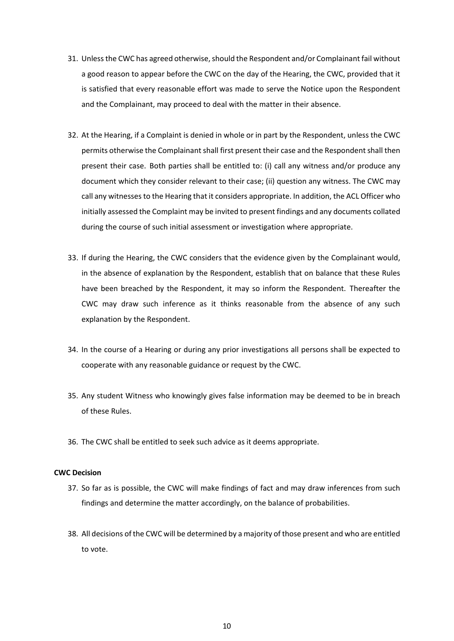- 31. Unless the CWC has agreed otherwise, should the Respondent and/or Complainant fail without a good reason to appear before the CWC on the day of the Hearing, the CWC, provided that it is satisfied that every reasonable effort was made to serve the Notice upon the Respondent and the Complainant, may proceed to deal with the matter in their absence.
- 32. At the Hearing, if a Complaint is denied in whole or in part by the Respondent, unless the CWC permits otherwise the Complainant shall first present their case and the Respondent shall then present their case. Both parties shall be entitled to: (i) call any witness and/or produce any document which they consider relevant to their case; (ii) question any witness. The CWC may call any witnessesto the Hearing that it considers appropriate. In addition, the ACL Officer who initially assessed the Complaint may be invited to present findings and any documents collated during the course of such initial assessment or investigation where appropriate.
- 33. If during the Hearing, the CWC considers that the evidence given by the Complainant would, in the absence of explanation by the Respondent, establish that on balance that these Rules have been breached by the Respondent, it may so inform the Respondent. Thereafter the CWC may draw such inference as it thinks reasonable from the absence of any such explanation by the Respondent.
- 34. In the course of a Hearing or during any prior investigations all persons shall be expected to cooperate with any reasonable guidance or request by the CWC.
- 35. Any student Witness who knowingly gives false information may be deemed to be in breach of these Rules.
- 36. The CWC shall be entitled to seek such advice as it deems appropriate.

### **CWC Decision**

- 37. So far as is possible, the CWC will make findings of fact and may draw inferences from such findings and determine the matter accordingly, on the balance of probabilities.
- 38. All decisions of the CWC will be determined by a majority of those present and who are entitled to vote.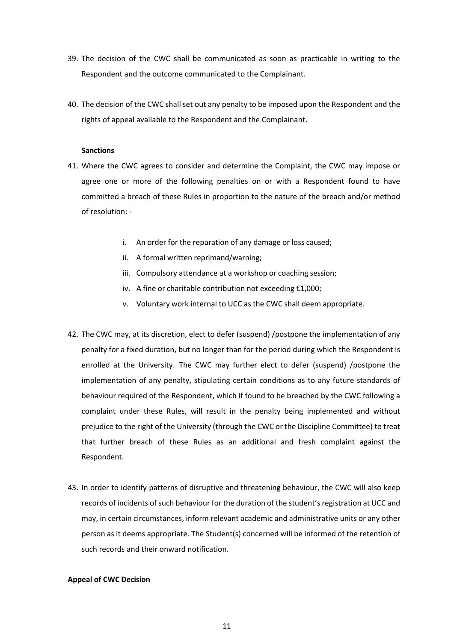- 39. The decision of the CWC shall be communicated as soon as practicable in writing to the Respondent and the outcome communicated to the Complainant.
- 40. The decision of the CWC shall set out any penalty to be imposed upon the Respondent and the rights of appeal available to the Respondent and the Complainant.

### **Sanctions**

- 41. Where the CWC agrees to consider and determine the Complaint, the CWC may impose or agree one or more of the following penalties on or with a Respondent found to have committed a breach of these Rules in proportion to the nature of the breach and/or method of resolution:
	- i. An order for the reparation of any damage or loss caused;
	- ii. A formal written reprimand/warning;
	- iii. Compulsory attendance at a workshop or coaching session;
	- iv. A fine or charitable contribution not exceeding €1,000;
	- v. Voluntary work internal to UCC as the CWC shall deem appropriate.
- 42. The CWC may, at its discretion, elect to defer (suspend) /postpone the implementation of any penalty for a fixed duration, but no longer than for the period during which the Respondent is enrolled at the University. The CWC may further elect to defer (suspend) /postpone the implementation of any penalty, stipulating certain conditions as to any future standards of behaviour required of the Respondent, which if found to be breached by the CWC following a complaint under these Rules, will result in the penalty being implemented and without prejudice to the right of the University (through the CWC or the Discipline Committee) to treat that further breach of these Rules as an additional and fresh complaint against the Respondent.
- 43. In order to identify patterns of disruptive and threatening behaviour, the CWC will also keep records of incidents of such behaviour for the duration of the student's registration at UCC and may, in certain circumstances, inform relevant academic and administrative units or any other person as it deems appropriate. The Student(s) concerned will be informed of the retention of such records and their onward notification.

### **Appeal of CWC Decision**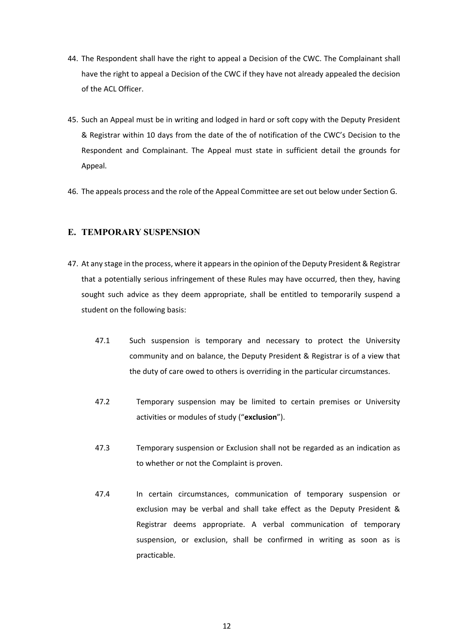- 44. The Respondent shall have the right to appeal a Decision of the CWC. The Complainant shall have the right to appeal a Decision of the CWC if they have not already appealed the decision of the ACL Officer.
- 45. Such an Appeal must be in writing and lodged in hard or soft copy with the Deputy President & Registrar within 10 days from the date of the of notification of the CWC's Decision to the Respondent and Complainant. The Appeal must state in sufficient detail the grounds for Appeal.
- 46. The appeals process and the role of the Appeal Committee are set out below under Section G.

## **E. TEMPORARY SUSPENSION**

- 47. At any stage in the process, where it appearsin the opinion of the Deputy President & Registrar that a potentially serious infringement of these Rules may have occurred, then they, having sought such advice as they deem appropriate, shall be entitled to temporarily suspend a student on the following basis:
	- 47.1 Such suspension is temporary and necessary to protect the University community and on balance, the Deputy President & Registrar is of a view that the duty of care owed to others is overriding in the particular circumstances.
	- 47.2 Temporary suspension may be limited to certain premises or University activities or modules of study ("**exclusion**").
	- 47.3 Temporary suspension or Exclusion shall not be regarded as an indication as to whether or not the Complaint is proven.
	- 47.4 In certain circumstances, communication of temporary suspension or exclusion may be verbal and shall take effect as the Deputy President & Registrar deems appropriate. A verbal communication of temporary suspension, or exclusion, shall be confirmed in writing as soon as is practicable.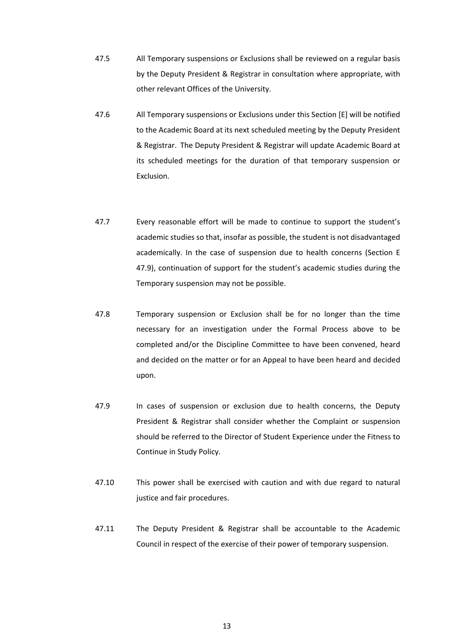- 47.5 All Temporary suspensions or Exclusions shall be reviewed on a regular basis by the Deputy President & Registrar in consultation where appropriate, with other relevant Offices of the University.
- 47.6 All Temporary suspensions or Exclusions under this Section [E] will be notified to the Academic Board at its next scheduled meeting by the Deputy President & Registrar. The Deputy President & Registrar will update Academic Board at its scheduled meetings for the duration of that temporary suspension or Exclusion.
- 47.7 Every reasonable effort will be made to continue to support the student's academic studies so that, insofar as possible, the student is not disadvantaged academically. In the case of suspension due to health concerns (Section E 47.9), continuation of support for the student's academic studies during the Temporary suspension may not be possible.
- 47.8 Temporary suspension or Exclusion shall be for no longer than the time necessary for an investigation under the Formal Process above to be completed and/or the Discipline Committee to have been convened, heard and decided on the matter or for an Appeal to have been heard and decided upon.
- 47.9 In cases of suspension or exclusion due to health concerns, the Deputy President & Registrar shall consider whether the Complaint or suspension should be referred to the Director of Student Experience under the Fitness to Continue in Study Policy.
- 47.10 This power shall be exercised with caution and with due regard to natural justice and fair procedures.
- 47.11 The Deputy President & Registrar shall be accountable to the Academic Council in respect of the exercise of their power of temporary suspension.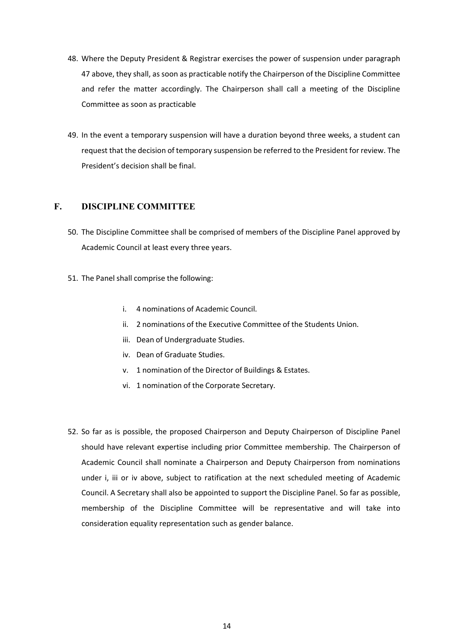- 48. Where the Deputy President & Registrar exercises the power of suspension under paragraph 47 above, they shall, as soon as practicable notify the Chairperson of the Discipline Committee and refer the matter accordingly. The Chairperson shall call a meeting of the Discipline Committee as soon as practicable
- 49. In the event a temporary suspension will have a duration beyond three weeks, a student can request that the decision of temporary suspension be referred to the President for review. The President's decision shall be final.

## **F. DISCIPLINE COMMITTEE**

- 50. The Discipline Committee shall be comprised of members of the Discipline Panel approved by Academic Council at least every three years.
- 51. The Panel shall comprise the following:
	- i. 4 nominations of Academic Council.
	- ii. 2 nominations of the Executive Committee of the Students Union.
	- iii. Dean of Undergraduate Studies.
	- iv. Dean of Graduate Studies.
	- v. 1 nomination of the Director of Buildings & Estates.
	- vi. 1 nomination of the Corporate Secretary.
- 52. So far as is possible, the proposed Chairperson and Deputy Chairperson of Discipline Panel should have relevant expertise including prior Committee membership. The Chairperson of Academic Council shall nominate a Chairperson and Deputy Chairperson from nominations under i, iii or iv above, subject to ratification at the next scheduled meeting of Academic Council. A Secretary shall also be appointed to support the Discipline Panel. So far as possible, membership of the Discipline Committee will be representative and will take into consideration equality representation such as gender balance.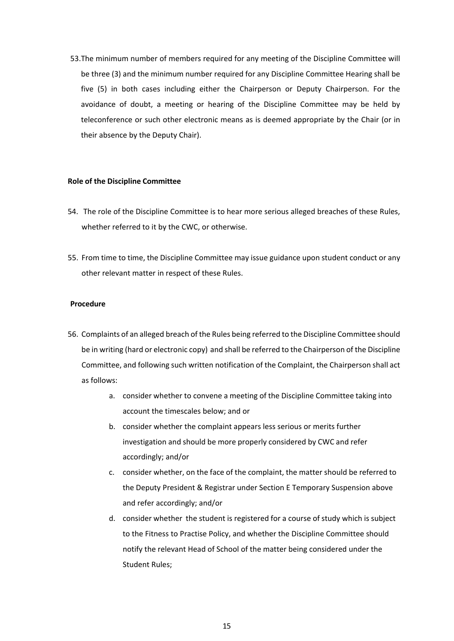53.The minimum number of members required for any meeting of the Discipline Committee will be three (3) and the minimum number required for any Discipline Committee Hearing shall be five (5) in both cases including either the Chairperson or Deputy Chairperson. For the avoidance of doubt, a meeting or hearing of the Discipline Committee may be held by teleconference or such other electronic means as is deemed appropriate by the Chair (or in their absence by the Deputy Chair).

### **Role of the Discipline Committee**

- 54. The role of the Discipline Committee is to hear more serious alleged breaches of these Rules, whether referred to it by the CWC, or otherwise.
- 55. From time to time, the Discipline Committee may issue guidance upon student conduct or any other relevant matter in respect of these Rules.

### **Procedure**

- 56. Complaints of an alleged breach of the Rules being referred to the Discipline Committee should be in writing (hard or electronic copy) and shall be referred to the Chairperson of the Discipline Committee, and following such written notification of the Complaint, the Chairperson shall act as follows:
	- a. consider whether to convene a meeting of the Discipline Committee taking into account the timescales below; and or
	- b. consider whether the complaint appears less serious or merits further investigation and should be more properly considered by CWC and refer accordingly; and/or
	- c. consider whether, on the face of the complaint, the matter should be referred to the Deputy President & Registrar under Section E Temporary Suspension above and refer accordingly; and/or
	- d. consider whether the student is registered for a course of study which is subject to the Fitness to Practise Policy, and whether the Discipline Committee should notify the relevant Head of School of the matter being considered under the Student Rules;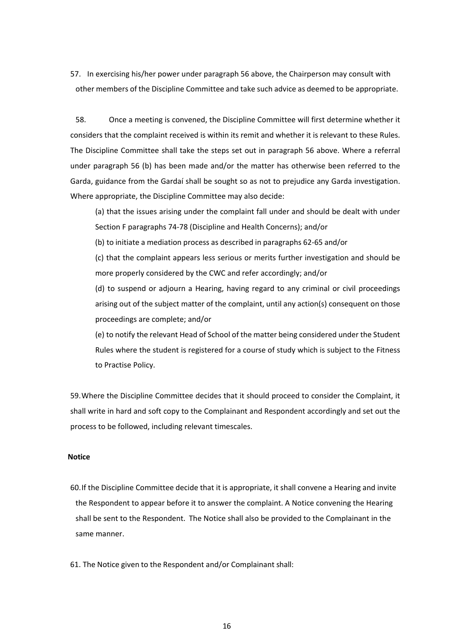57. In exercising his/her power under paragraph 56 above, the Chairperson may consult with other members of the Discipline Committee and take such advice as deemed to be appropriate.

58. Once a meeting is convened, the Discipline Committee will first determine whether it considers that the complaint received is within its remit and whether it is relevant to these Rules. The Discipline Committee shall take the steps set out in paragraph 56 above. Where a referral under paragraph 56 (b) has been made and/or the matter has otherwise been referred to the Garda, guidance from the Gardaí shall be sought so as not to prejudice any Garda investigation. Where appropriate, the Discipline Committee may also decide:

(a) that the issues arising under the complaint fall under and should be dealt with under Section F paragraphs 74-78 (Discipline and Health Concerns); and/or

(b) to initiate a mediation process as described in paragraphs 62-65 and/or

(c) that the complaint appears less serious or merits further investigation and should be more properly considered by the CWC and refer accordingly; and/or

(d) to suspend or adjourn a Hearing, having regard to any criminal or civil proceedings arising out of the subject matter of the complaint, until any action(s) consequent on those proceedings are complete; and/or

(e) to notify the relevant Head of School of the matter being considered under the Student Rules where the student is registered for a course of study which is subject to the Fitness to Practise Policy.

59.Where the Discipline Committee decides that it should proceed to consider the Complaint, it shall write in hard and soft copy to the Complainant and Respondent accordingly and set out the process to be followed, including relevant timescales.

### **Notice**

60.If the Discipline Committee decide that it is appropriate, it shall convene a Hearing and invite the Respondent to appear before it to answer the complaint. A Notice convening the Hearing shall be sent to the Respondent. The Notice shall also be provided to the Complainant in the same manner.

61. The Notice given to the Respondent and/or Complainant shall: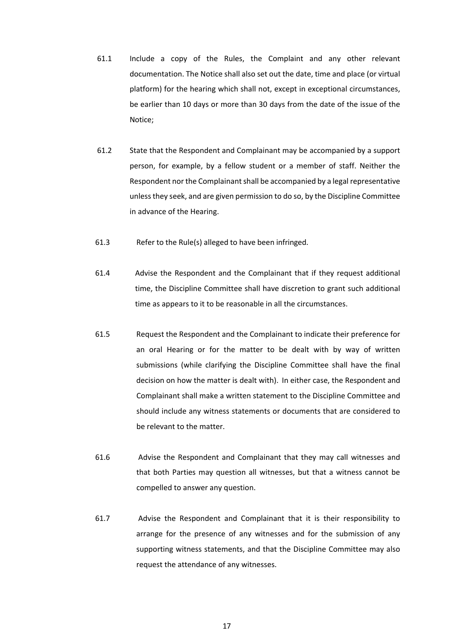- 61.1 Include a copy of the Rules, the Complaint and any other relevant documentation. The Notice shall also set out the date, time and place (or virtual platform) for the hearing which shall not, except in exceptional circumstances, be earlier than 10 days or more than 30 days from the date of the issue of the Notice;
- 61.2 State that the Respondent and Complainant may be accompanied by a support person, for example, by a fellow student or a member of staff. Neither the Respondent nor the Complainant shall be accompanied by a legal representative unlessthey seek, and are given permission to do so, by the Discipline Committee in advance of the Hearing.
- 61.3 Refer to the Rule(s) alleged to have been infringed.
- 61.4 Advise the Respondent and the Complainant that if they request additional time, the Discipline Committee shall have discretion to grant such additional time as appears to it to be reasonable in all the circumstances.
- 61.5 Request the Respondent and the Complainant to indicate their preference for an oral Hearing or for the matter to be dealt with by way of written submissions (while clarifying the Discipline Committee shall have the final decision on how the matter is dealt with). In either case, the Respondent and Complainant shall make a written statement to the Discipline Committee and should include any witness statements or documents that are considered to be relevant to the matter.
- 61.6 Advise the Respondent and Complainant that they may call witnesses and that both Parties may question all witnesses, but that a witness cannot be compelled to answer any question.
- 61.7 Advise the Respondent and Complainant that it is their responsibility to arrange for the presence of any witnesses and for the submission of any supporting witness statements, and that the Discipline Committee may also request the attendance of any witnesses.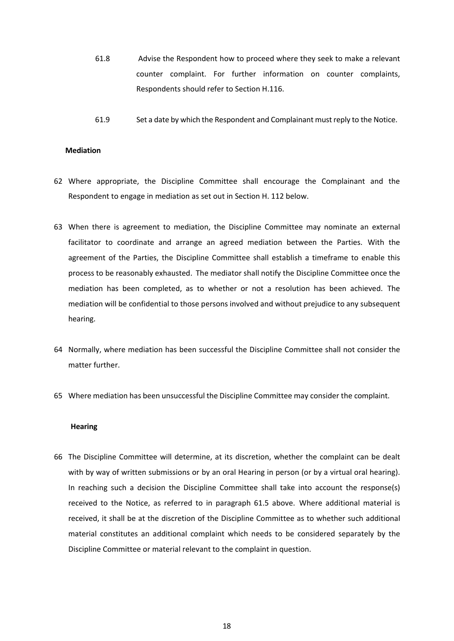- 61.8 Advise the Respondent how to proceed where they seek to make a relevant counter complaint. For further information on counter complaints, Respondents should refer to Section H.116.
- 61.9 Set a date by which the Respondent and Complainant must reply to the Notice.

#### **Mediation**

- 62 Where appropriate, the Discipline Committee shall encourage the Complainant and the Respondent to engage in mediation as set out in Section H. 112 below.
- 63 When there is agreement to mediation, the Discipline Committee may nominate an external facilitator to coordinate and arrange an agreed mediation between the Parties. With the agreement of the Parties, the Discipline Committee shall establish a timeframe to enable this process to be reasonably exhausted. The mediator shall notify the Discipline Committee once the mediation has been completed, as to whether or not a resolution has been achieved. The mediation will be confidential to those persons involved and without prejudice to any subsequent hearing.
- 64 Normally, where mediation has been successful the Discipline Committee shall not consider the matter further.
- 65 Where mediation has been unsuccessful the Discipline Committee may consider the complaint.

#### **Hearing**

66 The Discipline Committee will determine, at its discretion, whether the complaint can be dealt with by way of written submissions or by an oral Hearing in person (or by a virtual oral hearing). In reaching such a decision the Discipline Committee shall take into account the response(s) received to the Notice, as referred to in paragraph 61.5 above. Where additional material is received, it shall be at the discretion of the Discipline Committee as to whether such additional material constitutes an additional complaint which needs to be considered separately by the Discipline Committee or material relevant to the complaint in question.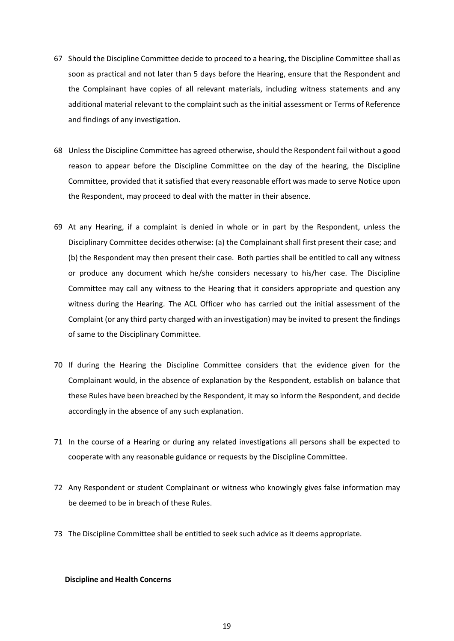- 67 Should the Discipline Committee decide to proceed to a hearing, the Discipline Committee shall as soon as practical and not later than 5 days before the Hearing, ensure that the Respondent and the Complainant have copies of all relevant materials, including witness statements and any additional material relevant to the complaint such as the initial assessment or Terms of Reference and findings of any investigation.
- 68 Unless the Discipline Committee has agreed otherwise, should the Respondent fail without a good reason to appear before the Discipline Committee on the day of the hearing, the Discipline Committee, provided that it satisfied that every reasonable effort was made to serve Notice upon the Respondent, may proceed to deal with the matter in their absence.
- 69 At any Hearing, if a complaint is denied in whole or in part by the Respondent, unless the Disciplinary Committee decides otherwise: (a) the Complainant shall first present their case; and (b) the Respondent may then present their case. Both parties shall be entitled to call any witness or produce any document which he/she considers necessary to his/her case. The Discipline Committee may call any witness to the Hearing that it considers appropriate and question any witness during the Hearing. The ACL Officer who has carried out the initial assessment of the Complaint (or any third party charged with an investigation) may be invited to present the findings of same to the Disciplinary Committee.
- 70 If during the Hearing the Discipline Committee considers that the evidence given for the Complainant would, in the absence of explanation by the Respondent, establish on balance that these Rules have been breached by the Respondent, it may so inform the Respondent, and decide accordingly in the absence of any such explanation.
- 71 In the course of a Hearing or during any related investigations all persons shall be expected to cooperate with any reasonable guidance or requests by the Discipline Committee.
- 72 Any Respondent or student Complainant or witness who knowingly gives false information may be deemed to be in breach of these Rules.
- 73 The Discipline Committee shall be entitled to seek such advice as it deems appropriate.

### **Discipline and Health Concerns**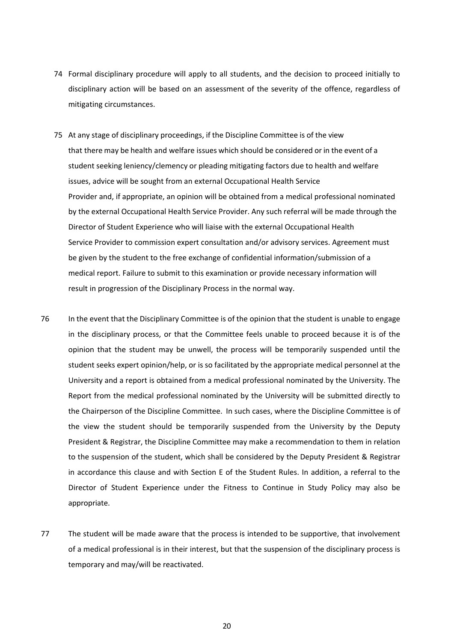- 74 Formal disciplinary procedure will apply to all students, and the decision to proceed initially to disciplinary action will be based on an assessment of the severity of the offence, regardless of mitigating circumstances.
- 75 At any stage of disciplinary proceedings, if the Discipline Committee is of the view that there may be health and welfare issues which should be considered or in the event of a student seeking leniency/clemency or pleading mitigating factors due to health and welfare issues, advice will be sought from an external Occupational Health Service Provider and, if appropriate, an opinion will be obtained from a medical professional nominated by the external Occupational Health Service Provider. Any such referral will be made through the Director of Student Experience who will liaise with the external Occupational Health Service Provider to commission expert consultation and/or advisory services. Agreement must be given by the student to the free exchange of confidential information/submission of a medical report. Failure to submit to this examination or provide necessary information will result in progression of the Disciplinary Process in the normal way.
- 76 In the event that the Disciplinary Committee is of the opinion that the student is unable to engage in the disciplinary process, or that the Committee feels unable to proceed because it is of the opinion that the student may be unwell, the process will be temporarily suspended until the student seeks expert opinion/help, or is so facilitated by the appropriate medical personnel at the University and a report is obtained from a medical professional nominated by the University. The Report from the medical professional nominated by the University will be submitted directly to the Chairperson of the Discipline Committee. In such cases, where the Discipline Committee is of the view the student should be temporarily suspended from the University by the Deputy President & Registrar, the Discipline Committee may make a recommendation to them in relation to the suspension of the student, which shall be considered by the Deputy President & Registrar in accordance this clause and with Section E of the Student Rules. In addition, a referral to the Director of Student Experience under the Fitness to Continue in Study Policy may also be appropriate.
- 77 The student will be made aware that the process is intended to be supportive, that involvement of a medical professional is in their interest, but that the suspension of the disciplinary process is temporary and may/will be reactivated.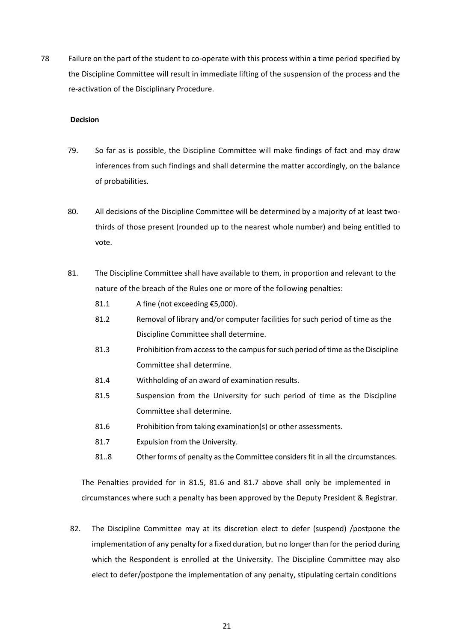78 Failure on the part of the student to co-operate with this process within a time period specified by the Discipline Committee will result in immediate lifting of the suspension of the process and the re-activation of the Disciplinary Procedure.

### **Decision**

- 79. So far as is possible, the Discipline Committee will make findings of fact and may draw inferences from such findings and shall determine the matter accordingly, on the balance of probabilities.
- 80. All decisions of the Discipline Committee will be determined by a majority of at least twothirds of those present (rounded up to the nearest whole number) and being entitled to vote.
- 81. The Discipline Committee shall have available to them, in proportion and relevant to the nature of the breach of the Rules one or more of the following penalties:
	- 81.1 A fine (not exceeding €5,000).
	- 81.2 Removal of library and/or computer facilities for such period of time as the Discipline Committee shall determine.
	- 81.3 Prohibition from access to the campus for such period of time as the Discipline Committee shall determine.
	- 81.4 Withholding of an award of examination results.
	- 81.5 Suspension from the University for such period of time as the Discipline Committee shall determine.
	- 81.6 Prohibition from taking examination(s) or other assessments.
	- 81.7 Expulsion from the University.
	- 81..8 Other forms of penalty asthe Committee considers fit in all the circumstances.

The Penalties provided for in 81.5, 81.6 and 81.7 above shall only be implemented in circumstances where such a penalty has been approved by the Deputy President & Registrar.

82. The Discipline Committee may at its discretion elect to defer (suspend) /postpone the implementation of any penalty for a fixed duration, but no longer than for the period during which the Respondent is enrolled at the University. The Discipline Committee may also elect to defer/postpone the implementation of any penalty, stipulating certain conditions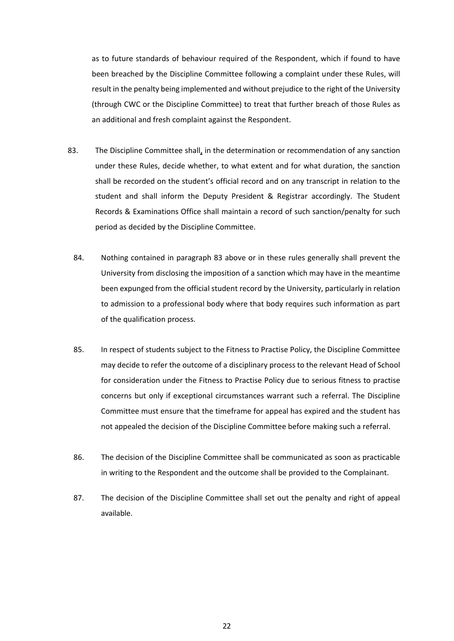as to future standards of behaviour required of the Respondent, which if found to have been breached by the Discipline Committee following a complaint under these Rules, will result in the penalty being implemented and without prejudice to the right of the University (through CWC or the Discipline Committee) to treat that further breach of those Rules as an additional and fresh complaint against the Respondent.

- 83. The Discipline Committee shall, in the determination or recommendation of any sanction under these Rules, decide whether, to what extent and for what duration, the sanction shall be recorded on the student's official record and on any transcript in relation to the student and shall inform the Deputy President & Registrar accordingly. The Student Records & Examinations Office shall maintain a record of such sanction/penalty for such period as decided by the Discipline Committee.
	- 84. Nothing contained in paragraph 83 above or in these rules generally shall prevent the University from disclosing the imposition of a sanction which may have in the meantime been expunged from the official student record by the University, particularly in relation to admission to a professional body where that body requires such information as part of the qualification process.
	- 85. In respect of students subject to the Fitness to Practise Policy, the Discipline Committee may decide to refer the outcome of a disciplinary process to the relevant Head of School for consideration under the Fitness to Practise Policy due to serious fitness to practise concerns but only if exceptional circumstances warrant such a referral. The Discipline Committee must ensure that the timeframe for appeal has expired and the student has not appealed the decision of the Discipline Committee before making such a referral.
	- 86. The decision of the Discipline Committee shall be communicated as soon as practicable in writing to the Respondent and the outcome shall be provided to the Complainant.
	- 87. The decision of the Discipline Committee shall set out the penalty and right of appeal available.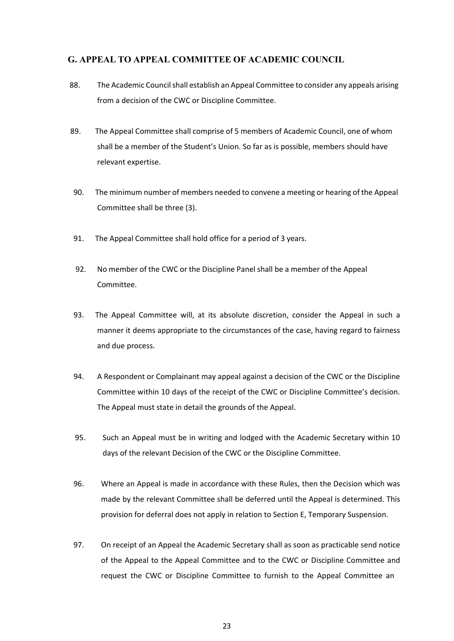### **G. APPEAL TO APPEAL COMMITTEE OF ACADEMIC COUNCIL**

- 88. The Academic Council shall establish an Appeal Committee to consider any appeals arising from a decision of the CWC or Discipline Committee.
- 89. The Appeal Committee shall comprise of 5 members of Academic Council, one of whom shall be a member of the Student's Union. So far as is possible, members should have relevant expertise.
- 90. The minimum number of members needed to convene a meeting or hearing of the Appeal Committee shall be three (3).
- 91. The Appeal Committee shall hold office for a period of 3 years.
- 92. No member of the CWC or the Discipline Panel shall be a member of the Appeal Committee.
- 93. The Appeal Committee will, at its absolute discretion, consider the Appeal in such a manner it deems appropriate to the circumstances of the case, having regard to fairness and due process.
- 94. A Respondent or Complainant may appeal against a decision of the CWC or the Discipline Committee within 10 days of the receipt of the CWC or Discipline Committee's decision. The Appeal must state in detail the grounds of the Appeal.
- 95. Such an Appeal must be in writing and lodged with the Academic Secretary within 10 days of the relevant Decision of the CWC or the Discipline Committee.
- 96. Where an Appeal is made in accordance with these Rules, then the Decision which was made by the relevant Committee shall be deferred until the Appeal is determined. This provision for deferral does not apply in relation to Section E, Temporary Suspension.
- 97. On receipt of an Appeal the Academic Secretary shall as soon as practicable send notice of the Appeal to the Appeal Committee and to the CWC or Discipline Committee and request the CWC or Discipline Committee to furnish to the Appeal Committee an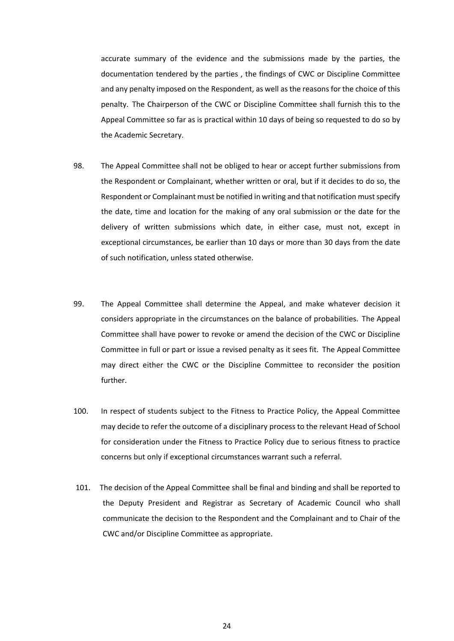accurate summary of the evidence and the submissions made by the parties, the documentation tendered by the parties , the findings of CWC or Discipline Committee and any penalty imposed on the Respondent, as well as the reasons for the choice of this penalty. The Chairperson of the CWC or Discipline Committee shall furnish this to the Appeal Committee so far as is practical within 10 days of being so requested to do so by the Academic Secretary.

- 98. The Appeal Committee shall not be obliged to hear or accept further submissions from the Respondent or Complainant, whether written or oral, but if it decides to do so, the Respondent or Complainant must be notified in writing and that notification mustspecify the date, time and location for the making of any oral submission or the date for the delivery of written submissions which date, in either case, must not, except in exceptional circumstances, be earlier than 10 days or more than 30 days from the date of such notification, unless stated otherwise.
- 99. The Appeal Committee shall determine the Appeal, and make whatever decision it considers appropriate in the circumstances on the balance of probabilities. The Appeal Committee shall have power to revoke or amend the decision of the CWC or Discipline Committee in full or part or issue a revised penalty as it sees fit. The Appeal Committee may direct either the CWC or the Discipline Committee to reconsider the position further.
- 100. In respect of students subject to the Fitness to Practice Policy, the Appeal Committee may decide to refer the outcome of a disciplinary process to the relevant Head of School for consideration under the Fitness to Practice Policy due to serious fitness to practice concerns but only if exceptional circumstances warrant such a referral.
- 101. The decision of the Appeal Committee shall be final and binding and shall be reported to the Deputy President and Registrar as Secretary of Academic Council who shall communicate the decision to the Respondent and the Complainant and to Chair of the CWC and/or Discipline Committee as appropriate.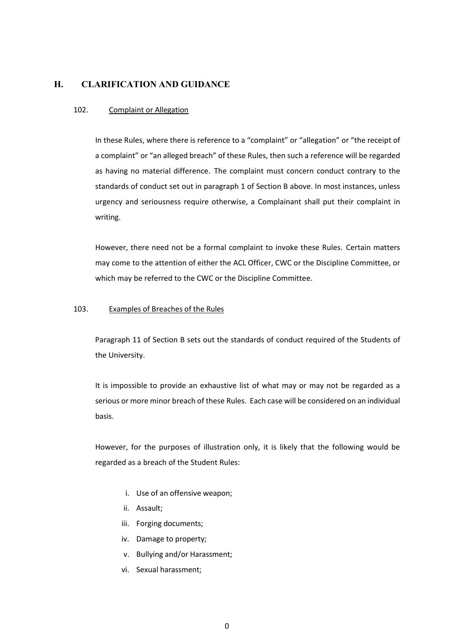## **H. CLARIFICATION AND GUIDANCE**

### 102. Complaint or Allegation

In these Rules, where there is reference to a "complaint" or "allegation" or "the receipt of a complaint" or "an alleged breach" of these Rules, then such a reference will be regarded as having no material difference. The complaint must concern conduct contrary to the standards of conduct set out in paragraph 1 of Section B above. In most instances, unless urgency and seriousness require otherwise, a Complainant shall put their complaint in writing.

However, there need not be a formal complaint to invoke these Rules. Certain matters may come to the attention of either the ACL Officer, CWC or the Discipline Committee, or which may be referred to the CWC or the Discipline Committee.

### 103. Examples of Breaches of the Rules

Paragraph 11 of Section B sets out the standards of conduct required of the Students of the University.

It is impossible to provide an exhaustive list of what may or may not be regarded as a serious or more minor breach of these Rules. Each case will be considered on an individual basis.

However, for the purposes of illustration only, it is likely that the following would be regarded as a breach of the Student Rules:

- i. Use of an offensive weapon;
- ii. Assault;
- iii. Forging documents;
- iv. Damage to property;
- v. Bullying and/or Harassment;
- vi. Sexual harassment;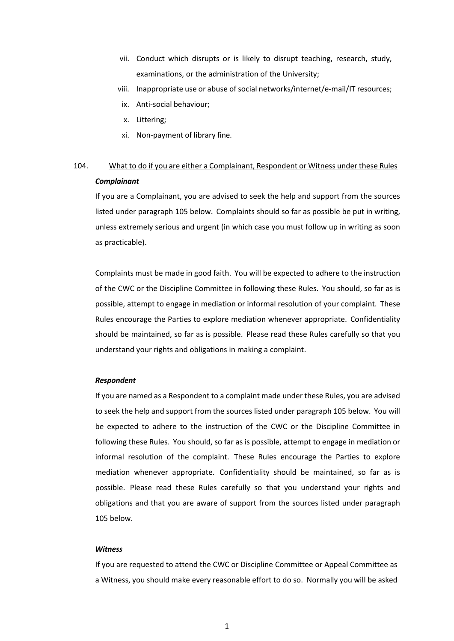- vii. Conduct which disrupts or is likely to disrupt teaching, research, study, examinations, or the administration of the University;
- viii. Inappropriate use or abuse of social networks/internet/e-mail/IT resources;
- ix. Anti-social behaviour;
- x. Littering;
- xi. Non-payment of library fine.

## 104. What to do if you are either a Complainant, Respondent or Witness under these Rules *Complainant*

If you are a Complainant, you are advised to seek the help and support from the sources listed under paragraph 105 below. Complaints should so far as possible be put in writing, unless extremely serious and urgent (in which case you must follow up in writing as soon as practicable).

Complaints must be made in good faith. You will be expected to adhere to the instruction of the CWC or the Discipline Committee in following these Rules. You should, so far as is possible, attempt to engage in mediation or informal resolution of your complaint. These Rules encourage the Parties to explore mediation whenever appropriate. Confidentiality should be maintained, so far as is possible. Please read these Rules carefully so that you understand your rights and obligations in making a complaint.

### *Respondent*

If you are named as a Respondent to a complaint made under these Rules, you are advised to seek the help and support from the sources listed under paragraph 105 below. You will be expected to adhere to the instruction of the CWC or the Discipline Committee in following these Rules. You should, so far as is possible, attempt to engage in mediation or informal resolution of the complaint. These Rules encourage the Parties to explore mediation whenever appropriate. Confidentiality should be maintained, so far as is possible. Please read these Rules carefully so that you understand your rights and obligations and that you are aware of support from the sources listed under paragraph 105 below.

#### *Witness*

If you are requested to attend the CWC or Discipline Committee or Appeal Committee as a Witness, you should make every reasonable effort to do so. Normally you will be asked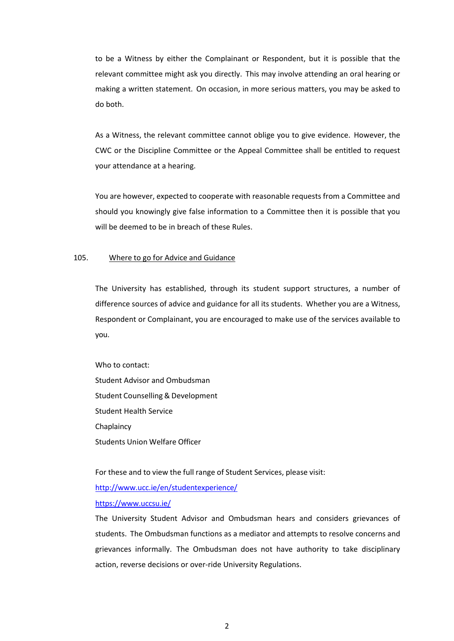to be a Witness by either the Complainant or Respondent, but it is possible that the relevant committee might ask you directly. This may involve attending an oral hearing or making a written statement. On occasion, in more serious matters, you may be asked to do both.

As a Witness, the relevant committee cannot oblige you to give evidence. However, the CWC or the Discipline Committee or the Appeal Committee shall be entitled to request your attendance at a hearing.

You are however, expected to cooperate with reasonable requests from a Committee and should you knowingly give false information to a Committee then it is possible that you will be deemed to be in breach of these Rules.

### 105. Where to go for Advice and Guidance

The University has established, through its student support structures, a number of difference sources of advice and guidance for all its students. Whether you are a Witness, Respondent or Complainant, you are encouraged to make use of the services available to you.

Who to contact: Student Advisor and Ombudsman Student Counselling & Development Student Health Service Chaplaincy Students Union Welfare Officer

For these and to view the full range of Student Services, please visit:

<http://www.ucc.ie/en/studentexperience/>

<https://www.uccsu.ie/>

The University Student Advisor and Ombudsman hears and considers grievances of students. The Ombudsman functions as a mediator and attempts to resolve concerns and grievances informally. The Ombudsman does not have authority to take disciplinary action, reverse decisions or over-ride University Regulations.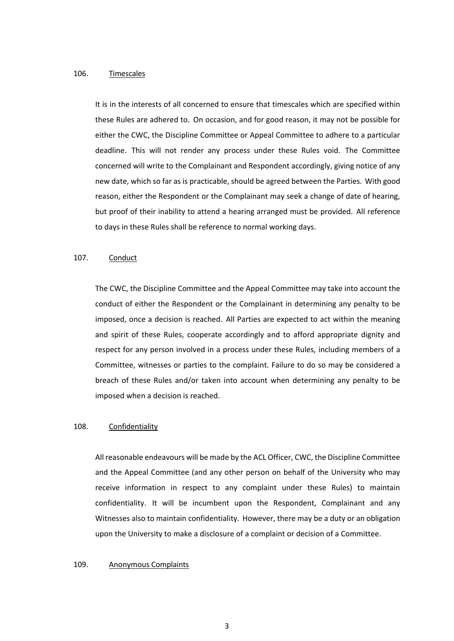### 106. Timescales

It is in the interests of all concerned to ensure that timescales which are specified within these Rules are adhered to. On occasion, and for good reason, it may not be possible for either the CWC, the Discipline Committee or Appeal Committee to adhere to a particular deadline. This will not render any process under these Rules void. The Committee concerned will write to the Complainant and Respondent accordingly, giving notice of any new date, which so far as is practicable, should be agreed between the Parties. With good reason, either the Respondent or the Complainant may seek a change of date of hearing, but proof of their inability to attend a hearing arranged must be provided. All reference to days in these Rules shall be reference to normal working days.

### 107. Conduct

The CWC, the Discipline Committee and the Appeal Committee may take into account the conduct of either the Respondent or the Complainant in determining any penalty to be imposed, once a decision is reached. All Parties are expected to act within the meaning and spirit of these Rules, cooperate accordingly and to afford appropriate dignity and respect for any person involved in a process under these Rules, including members of a Committee, witnesses or parties to the complaint. Failure to do so may be considered a breach of these Rules and/or taken into account when determining any penalty to be imposed when a decision is reached.

### 108. Confidentiality

All reasonable endeavours will be made by the ACL Officer, CWC, the Discipline Committee and the Appeal Committee (and any other person on behalf of the University who may receive information in respect to any complaint under these Rules) to maintain confidentiality. It will be incumbent upon the Respondent, Complainant and any Witnesses also to maintain confidentiality. However, there may be a duty or an obligation upon the University to make a disclosure of a complaint or decision of a Committee.

### 109. Anonymous Complaints

3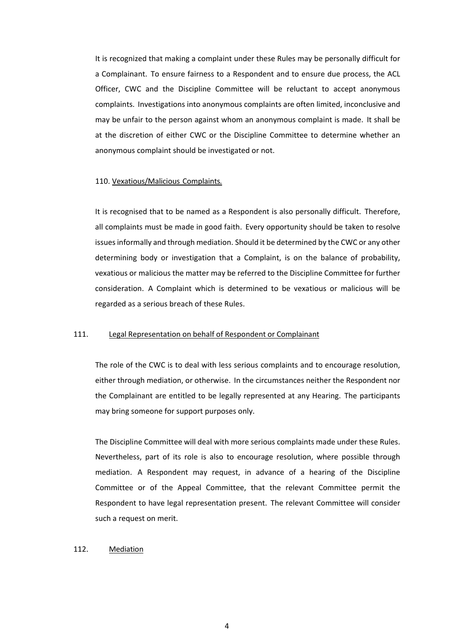It is recognized that making a complaint under these Rules may be personally difficult for a Complainant. To ensure fairness to a Respondent and to ensure due process, the ACL Officer, CWC and the Discipline Committee will be reluctant to accept anonymous complaints. Investigations into anonymous complaints are often limited, inconclusive and may be unfair to the person against whom an anonymous complaint is made. It shall be at the discretion of either CWC or the Discipline Committee to determine whether an anonymous complaint should be investigated or not.

### 110. Vexatious/Malicious Complaints*.*

It is recognised that to be named as a Respondent is also personally difficult. Therefore, all complaints must be made in good faith. Every opportunity should be taken to resolve issues informally and through mediation. Should it be determined by the CWC or any other determining body or investigation that a Complaint, is on the balance of probability, vexatious or malicious the matter may be referred to the Discipline Committee for further consideration. A Complaint which is determined to be vexatious or malicious will be regarded as a serious breach of these Rules.

### 111. Legal Representation on behalf of Respondent or Complainant

The role of the CWC is to deal with less serious complaints and to encourage resolution, either through mediation, or otherwise. In the circumstances neither the Respondent nor the Complainant are entitled to be legally represented at any Hearing. The participants may bring someone for support purposes only.

The Discipline Committee will deal with more serious complaints made under these Rules. Nevertheless, part of its role is also to encourage resolution, where possible through mediation. A Respondent may request, in advance of a hearing of the Discipline Committee or of the Appeal Committee, that the relevant Committee permit the Respondent to have legal representation present. The relevant Committee will consider such a request on merit.

### 112. Mediation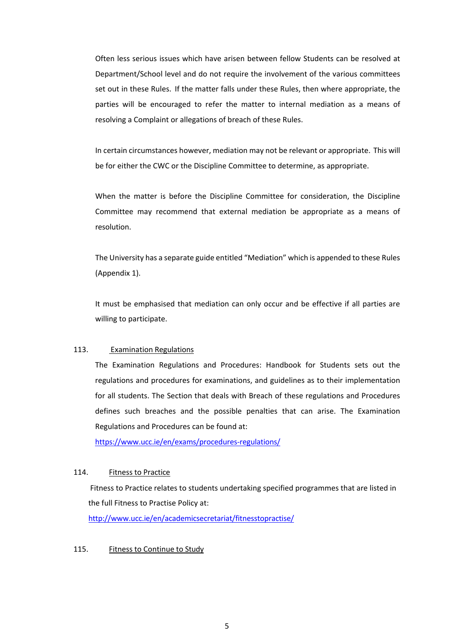Often less serious issues which have arisen between fellow Students can be resolved at Department/School level and do not require the involvement of the various committees set out in these Rules. If the matter falls under these Rules, then where appropriate, the parties will be encouraged to refer the matter to internal mediation as a means of resolving a Complaint or allegations of breach of these Rules.

In certain circumstances however, mediation may not be relevant or appropriate. This will be for either the CWC or the Discipline Committee to determine, as appropriate.

When the matter is before the Discipline Committee for consideration, the Discipline Committee may recommend that external mediation be appropriate as a means of resolution.

The University has a separate guide entitled "Mediation" which is appended to these Rules (Appendix 1).

It must be emphasised that mediation can only occur and be effective if all parties are willing to participate.

### 113. Examination Regulations

The Examination Regulations and Procedures: Handbook for Students sets out the regulations and procedures for examinations, and guidelines as to their implementation for all students. The Section that deals with Breach of these regulations and Procedures defines such breaches and the possible penalties that can arise. The Examination Regulations and Procedures can be found at:

<https://www.ucc.ie/en/exams/procedures-regulations/>

### 114. Fitness to Practice

Fitness to Practice relates to students undertaking specified programmes that are listed in the full Fitness to Practise Policy at:

<http://www.ucc.ie/en/academicsecretariat/fitnesstopractise/>

### 115. Fitness to Continue to Study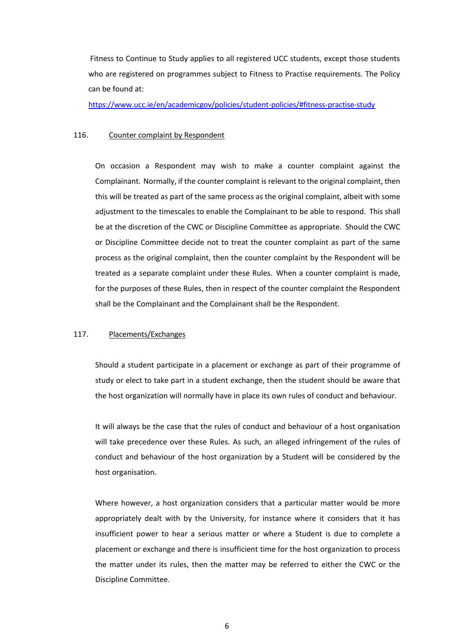Fitness to Continue to Study applies to all registered UCC students, except those students who are registered on programmes subject to Fitness to Practise requirements. The Policy can be found at:

https:/[/www.ucc.ie/en/academicgov/policies/student-policies/#fitness-practise-study](http://www.ucc.ie/en/academicgov/policies/student-policies/#fitness-practise-study)

### 116. Counter complaint by Respondent

On occasion a Respondent may wish to make a counter complaint against the Complainant. Normally, if the counter complaint is relevant to the original complaint, then this will be treated as part of the same process as the original complaint, albeit with some adjustment to the timescales to enable the Complainant to be able to respond. This shall be at the discretion of the CWC or Discipline Committee as appropriate. Should the CWC or Discipline Committee decide not to treat the counter complaint as part of the same process as the original complaint, then the counter complaint by the Respondent will be treated as a separate complaint under these Rules. When a counter complaint is made, for the purposes of these Rules, then in respect of the counter complaint the Respondent shall be the Complainant and the Complainant shall be the Respondent.

### 117. Placements/Exchanges

Should a student participate in a placement or exchange as part of their programme of study or elect to take part in a student exchange, then the student should be aware that the host organization will normally have in place its own rules of conduct and behaviour.

It will always be the case that the rules of conduct and behaviour of a host organisation will take precedence over these Rules. As such, an alleged infringement of the rules of conduct and behaviour of the host organization by a Student will be considered by the host organisation.

Where however, a host organization considers that a particular matter would be more appropriately dealt with by the University, for instance where it considers that it has insufficient power to hear a serious matter or where a Student is due to complete a placement or exchange and there is insufficient time for the host organization to process the matter under its rules, then the matter may be referred to either the CWC or the Discipline Committee.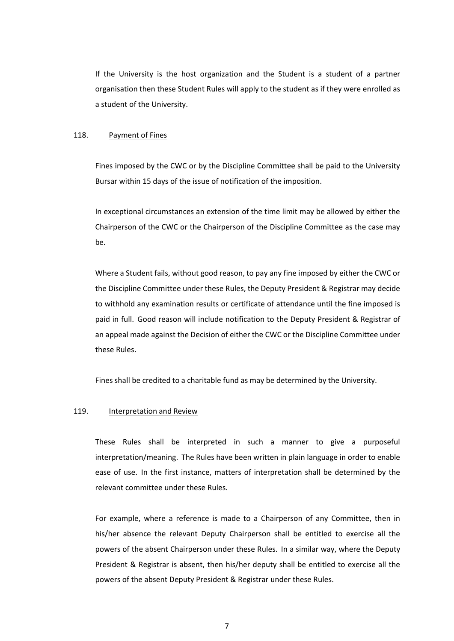If the University is the host organization and the Student is a student of a partner organisation then these Student Rules will apply to the student as if they were enrolled as a student of the University.

### 118. Payment of Fines

Fines imposed by the CWC or by the Discipline Committee shall be paid to the University Bursar within 15 days of the issue of notification of the imposition.

In exceptional circumstances an extension of the time limit may be allowed by either the Chairperson of the CWC or the Chairperson of the Discipline Committee as the case may be.

Where a Student fails, without good reason, to pay any fine imposed by either the CWC or the Discipline Committee under these Rules, the Deputy President & Registrar may decide to withhold any examination results or certificate of attendance until the fine imposed is paid in full. Good reason will include notification to the Deputy President & Registrar of an appeal made against the Decision of either the CWC or the Discipline Committee under these Rules.

Fines shall be credited to a charitable fund as may be determined by the University.

### 119. Interpretation and Review

These Rules shall be interpreted in such a manner to give a purposeful interpretation/meaning. The Rules have been written in plain language in order to enable ease of use. In the first instance, matters of interpretation shall be determined by the relevant committee under these Rules.

For example, where a reference is made to a Chairperson of any Committee, then in his/her absence the relevant Deputy Chairperson shall be entitled to exercise all the powers of the absent Chairperson under these Rules. In a similar way, where the Deputy President & Registrar is absent, then his/her deputy shall be entitled to exercise all the powers of the absent Deputy President & Registrar under these Rules.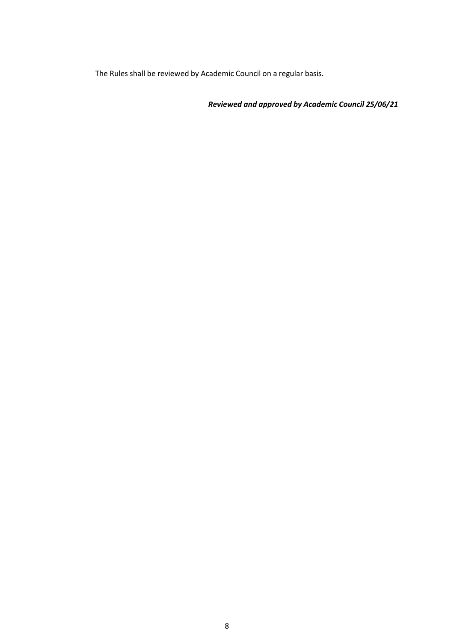The Rules shall be reviewed by Academic Council on a regular basis.

*Reviewed and approved by Academic Council 25/06/21*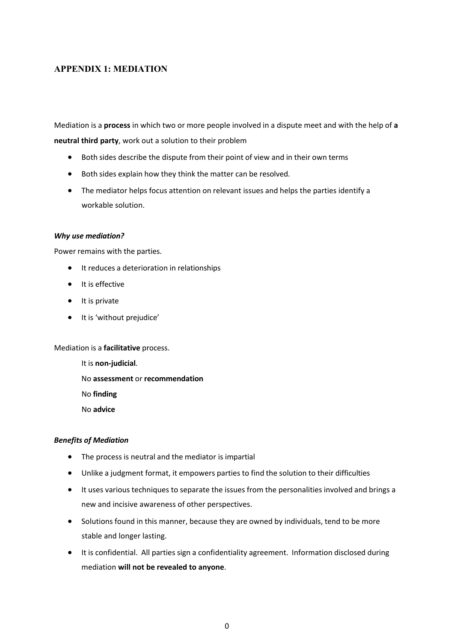## <span id="page-33-0"></span>**APPENDIX 1: MEDIATION**

Mediation is a **process** in which two or more people involved in a dispute meet and with the help of **a neutral third party**, work out a solution to their problem

- Both sides describe the dispute from their point of view and in their own terms
- Both sides explain how they think the matter can be resolved.
- The mediator helps focus attention on relevant issues and helps the parties identify a workable solution.

### *Why use mediation?*

Power remains with the parties.

- It reduces a deterioration in relationships
- It is effective
- It is private
- It is 'without prejudice'

Mediation is a **facilitative** process.

It is **non-judicial**. No **assessment** or **recommendation** No **finding**

No **advice**

### *Benefits of Mediation*

- The process is neutral and the mediator is impartial
- Unlike a judgment format, it empowers parties to find the solution to their difficulties
- It uses various techniques to separate the issues from the personalities involved and brings a new and incisive awareness of other perspectives.
- Solutions found in this manner, because they are owned by individuals, tend to be more stable and longer lasting.
- It is confidential. All parties sign a confidentiality agreement. Information disclosed during mediation **will not be revealed to anyone**.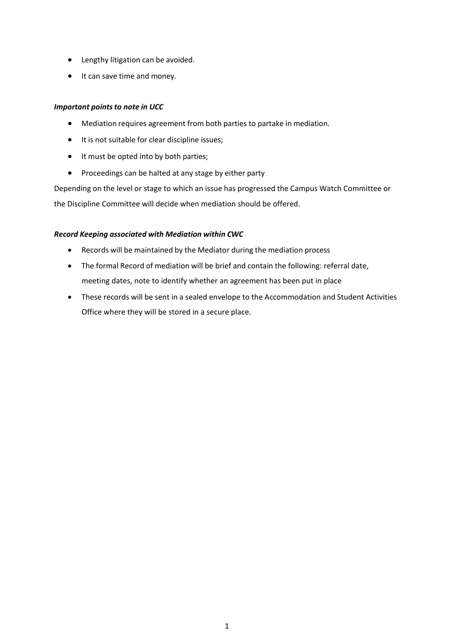- Lengthy litigation can be avoided.
- It can save time and money.

### *Important points to note in UCC*

- Mediation requires agreement from both parties to partake in mediation.
- It is not suitable for clear discipline issues;
- It must be opted into by both parties;
- Proceedings can be halted at any stage by either party

Depending on the level or stage to which an issue has progressed the Campus Watch Committee or the Discipline Committee will decide when mediation should be offered.

### *Record Keeping associated with Mediation within CWC*

- Records will be maintained by the Mediator during the mediation process
- The formal Record of mediation will be brief and contain the following: referral date, meeting dates, note to identify whether an agreement has been put in place
- These records will be sent in a sealed envelope to the Accommodation and Student Activities Office where they will be stored in a secure place.